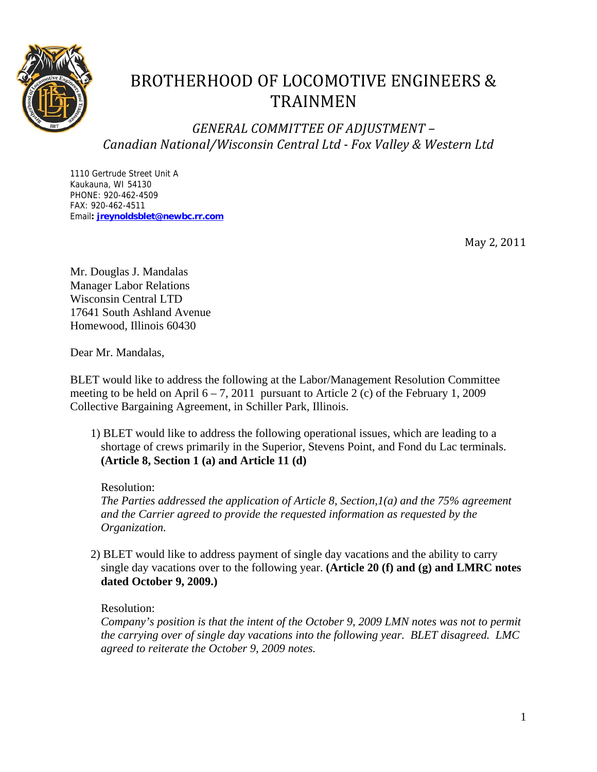

# BROTHERHOOD OF LOCOMOTIVE ENGINEERS & TRAINMEN

*GENERAL COMMITTEE OF ADJUSTMENT – Canadian National/Wisconsin Central Ltd Fox Valley & Western Ltd*

1110 Gertrude Street Unit A Kaukauna, WI 54130 PHONE: 920-462-4509 FAX: 920-462-4511 Email**: jreynoldsblet@newbc.rr.com**

May 2, 2011

Mr. Douglas J. Mandalas Manager Labor Relations Wisconsin Central LTD 17641 South Ashland Avenue Homewood, Illinois 60430

Dear Mr. Mandalas,

BLET would like to address the following at the Labor/Management Resolution Committee meeting to be held on April  $6 - 7$ , 2011 pursuant to Article 2 (c) of the February 1, 2009 Collective Bargaining Agreement, in Schiller Park, Illinois.

 1) BLET would like to address the following operational issues, which are leading to a shortage of crews primarily in the Superior, Stevens Point, and Fond du Lac terminals. **(Article 8, Section 1 (a) and Article 11 (d)** 

Resolution:

*The Parties addressed the application of Article 8, Section,1(a) and the 75% agreement and the Carrier agreed to provide the requested information as requested by the Organization.*

 2) BLET would like to address payment of single day vacations and the ability to carry single day vacations over to the following year. **(Article 20 (f) and (g) and LMRC notes dated October 9, 2009.)** 

Resolution:

*Company's position is that the intent of the October 9, 2009 LMN notes was not to permit the carrying over of single day vacations into the following year. BLET disagreed. LMC agreed to reiterate the October 9, 2009 notes.*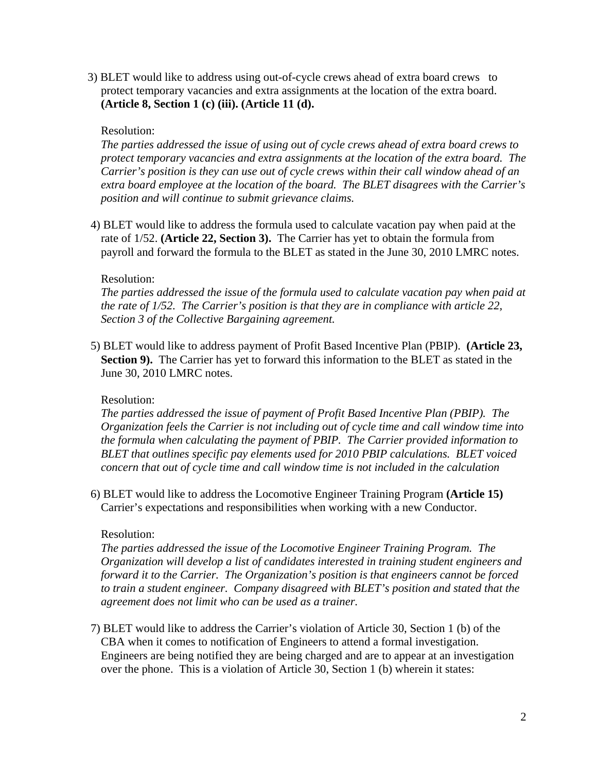3) BLET would like to address using out-of-cycle crews ahead of extra board crews to protect temporary vacancies and extra assignments at the location of the extra board. **(Article 8, Section 1 (c) (iii). (Article 11 (d).** 

# Resolution:

*The parties addressed the issue of using out of cycle crews ahead of extra board crews to protect temporary vacancies and extra assignments at the location of the extra board. The Carrier's position is they can use out of cycle crews within their call window ahead of an extra board employee at the location of the board. The BLET disagrees with the Carrier's position and will continue to submit grievance claims.* 

 4) BLET would like to address the formula used to calculate vacation pay when paid at the rate of 1/52. **(Article 22, Section 3).** The Carrier has yet to obtain the formula from payroll and forward the formula to the BLET as stated in the June 30, 2010 LMRC notes.

## Resolution:

*The parties addressed the issue of the formula used to calculate vacation pay when paid at the rate of 1/52. The Carrier's position is that they are in compliance with article 22, Section 3 of the Collective Bargaining agreement.* 

 5) BLET would like to address payment of Profit Based Incentive Plan (PBIP). **(Article 23, Section 9).** The Carrier has yet to forward this information to the BLET as stated in the June 30, 2010 LMRC notes.

# Resolution:

*The parties addressed the issue of payment of Profit Based Incentive Plan (PBIP). The Organization feels the Carrier is not including out of cycle time and call window time into the formula when calculating the payment of PBIP. The Carrier provided information to BLET that outlines specific pay elements used for 2010 PBIP calculations. BLET voiced concern that out of cycle time and call window time is not included in the calculation* 

 6) BLET would like to address the Locomotive Engineer Training Program **(Article 15)**  Carrier's expectations and responsibilities when working with a new Conductor.

# Resolution:

*The parties addressed the issue of the Locomotive Engineer Training Program. The Organization will develop a list of candidates interested in training student engineers and forward it to the Carrier. The Organization's position is that engineers cannot be forced to train a student engineer. Company disagreed with BLET's position and stated that the agreement does not limit who can be used as a trainer.*

 7) BLET would like to address the Carrier's violation of Article 30, Section 1 (b) of the CBA when it comes to notification of Engineers to attend a formal investigation. Engineers are being notified they are being charged and are to appear at an investigation over the phone. This is a violation of Article 30, Section 1 (b) wherein it states: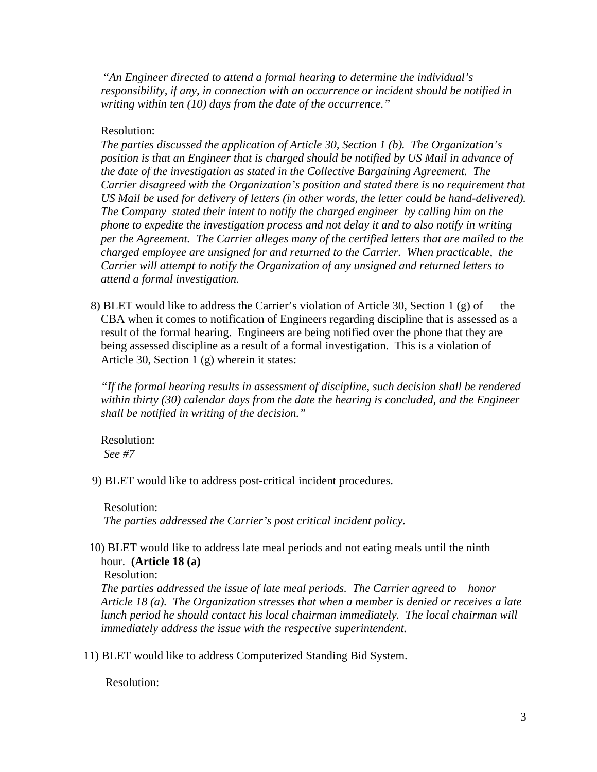"*An Engineer directed to attend a formal hearing to determine the individual's responsibility, if any, in connection with an occurrence or incident should be notified in writing within ten (10) days from the date of the occurrence."* 

# Resolution:

*The parties discussed the application of Article 30, Section 1 (b). The Organization's position is that an Engineer that is charged should be notified by US Mail in advance of the date of the investigation as stated in the Collective Bargaining Agreement. The Carrier disagreed with the Organization's position and stated there is no requirement that US Mail be used for delivery of letters (in other words, the letter could be hand-delivered). The Company stated their intent to notify the charged engineer by calling him on the phone to expedite the investigation process and not delay it and to also notify in writing per the Agreement. The Carrier alleges many of the certified letters that are mailed to the charged employee are unsigned for and returned to the Carrier. When practicable, the Carrier will attempt to notify the Organization of any unsigned and returned letters to attend a formal investigation.* 

8) BLET would like to address the Carrier's violation of Article 30, Section 1 (g) of the CBA when it comes to notification of Engineers regarding discipline that is assessed as a result of the formal hearing. Engineers are being notified over the phone that they are being assessed discipline as a result of a formal investigation. This is a violation of Article 30, Section 1 (g) wherein it states:

 *"If the formal hearing results in assessment of discipline, such decision shall be rendered within thirty (30) calendar days from the date the hearing is concluded, and the Engineer shall be notified in writing of the decision."* 

Resolution:  *See #7* 

9) BLET would like to address post-critical incident procedures.

 Resolution: *The parties addressed the Carrier's post critical incident policy.* 

# 10) BLET would like to address late meal periods and not eating meals until the ninth hour. **(Article 18 (a)**

Resolution:

*The parties addressed the issue of late meal periods. The Carrier agreed to honor Article 18 (a). The Organization stresses that when a member is denied or receives a late lunch period he should contact his local chairman immediately. The local chairman will immediately address the issue with the respective superintendent.* 

11) BLET would like to address Computerized Standing Bid System.

Resolution: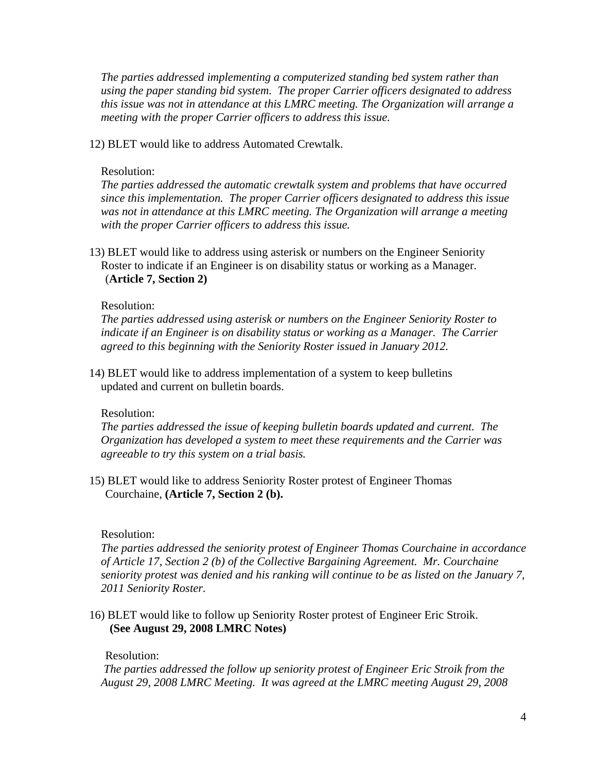*The parties addressed implementing a computerized standing bed system rather than using the paper standing bid system. The proper Carrier officers designated to address this issue was not in attendance at this LMRC meeting. The Organization will arrange a meeting with the proper Carrier officers to address this issue.* 

12) BLET would like to address Automated Crewtalk.

# Resolution:

*The parties addressed the automatic crewtalk system and problems that have occurred since this implementation. The proper Carrier officers designated to address this issue was not in attendance at this LMRC meeting. The Organization will arrange a meeting with the proper Carrier officers to address this issue.* 

 13) BLET would like to address using asterisk or numbers on the Engineer Seniority Roster to indicate if an Engineer is on disability status or working as a Manager. (**Article 7, Section 2)** 

## Resolution:

*The parties addressed using asterisk or numbers on the Engineer Seniority Roster to indicate if an Engineer is on disability status or working as a Manager. The Carrier agreed to this beginning with the Seniority Roster issued in January 2012.* 

 14) BLET would like to address implementation of a system to keep bulletins updated and current on bulletin boards.

#### Resolution:

*The parties addressed the issue of keeping bulletin boards updated and current. The Organization has developed a system to meet these requirements and the Carrier was agreeable to try this system on a trial basis.* 

 15) BLET would like to address Seniority Roster protest of Engineer Thomas Courchaine, **(Article 7, Section 2 (b).** 

#### Resolution:

*The parties addressed the seniority protest of Engineer Thomas Courchaine in accordance of Article 17, Section 2 (b) of the Collective Bargaining Agreement. Mr. Courchaine seniority protest was denied and his ranking will continue to be as listed on the January 7, 2011 Seniority Roster.* 

 16) BLET would like to follow up Seniority Roster protest of Engineer Eric Stroik. **(See August 29, 2008 LMRC Notes)** 

#### Resolution:

 *The parties addressed the follow up seniority protest of Engineer Eric Stroik from the August 29, 2008 LMRC Meeting. It was agreed at the LMRC meeting August 29, 2008*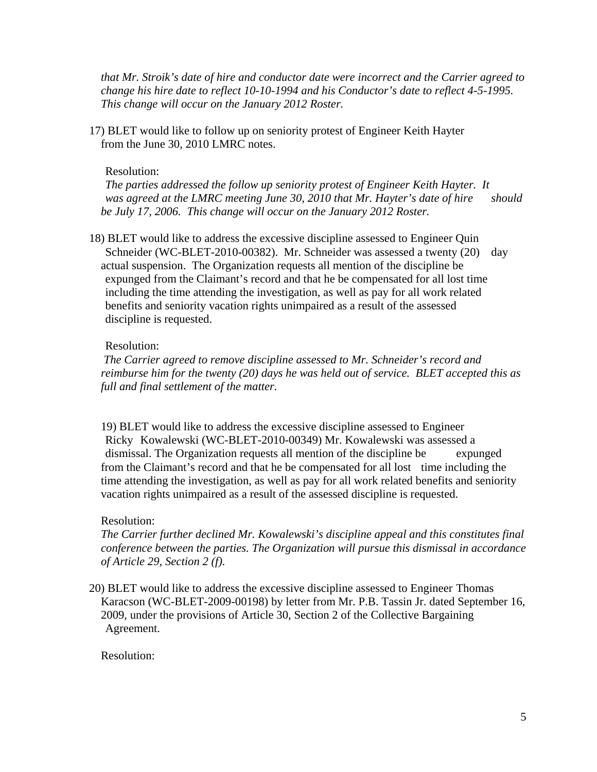*that Mr. Stroik's date of hire and conductor date were incorrect and the Carrier agreed to change his hire date to reflect 10-10-1994 and his Conductor's date to reflect 4-5-1995. This change will occur on the January 2012 Roster.* 

 17) BLET would like to follow up on seniority protest of Engineer Keith Hayter from the June 30, 2010 LMRC notes.

#### Resolution:

 *The parties addressed the follow up seniority protest of Engineer Keith Hayter. It*  was agreed at the LMRC meeting June 30, 2010 that Mr. Hayter's date of hire should *be July 17, 2006. This change will occur on the January 2012 Roster.* 

 18) BLET would like to address the excessive discipline assessed to Engineer Quin Schneider (WC-BLET-2010-00382). Mr. Schneider was assessed a twenty (20) day actual suspension. The Organization requests all mention of the discipline be expunged from the Claimant's record and that he be compensated for all lost time including the time attending the investigation, as well as pay for all work related benefits and seniority vacation rights unimpaired as a result of the assessed discipline is requested.

#### Resolution:

 *The Carrier agreed to remove discipline assessed to Mr. Schneider's record and reimburse him for the twenty (20) days he was held out of service. BLET accepted this as full and final settlement of the matter.* 

 19) BLET would like to address the excessive discipline assessed to Engineer Ricky Kowalewski (WC-BLET-2010-00349) Mr. Kowalewski was assessed a dismissal. The Organization requests all mention of the discipline be expunged from the Claimant's record and that he be compensated for all lost time including the time attending the investigation, as well as pay for all work related benefits and seniority vacation rights unimpaired as a result of the assessed discipline is requested.

#### Resolution:

*The Carrier further declined Mr. Kowalewski's discipline appeal and this constitutes final conference between the parties. The Organization will pursue this dismissal in accordance of Article 29, Section 2 (f).* 

 20) BLET would like to address the excessive discipline assessed to Engineer Thomas Karacson (WC-BLET-2009-00198) by letter from Mr. P.B. Tassin Jr. dated September 16, 2009, under the provisions of Article 30, Section 2 of the Collective Bargaining Agreement.

## Resolution: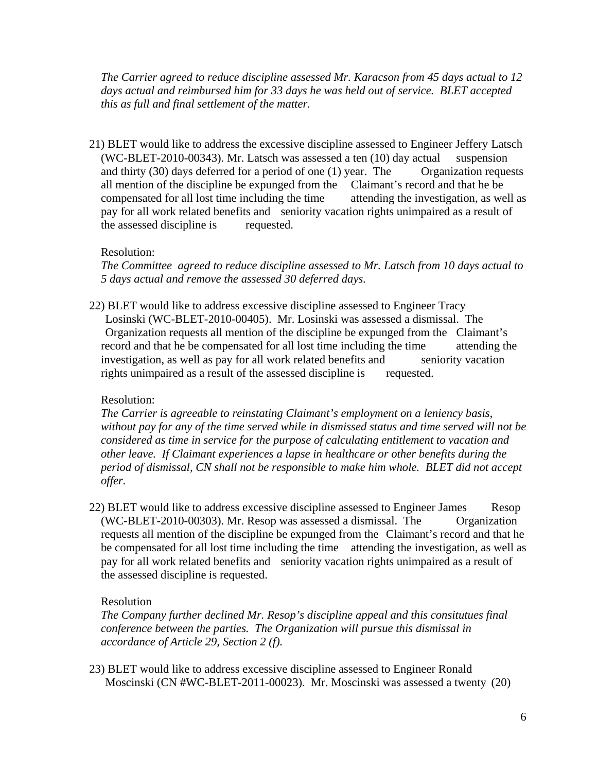*The Carrier agreed to reduce discipline assessed Mr. Karacson from 45 days actual to 12 days actual and reimbursed him for 33 days he was held out of service. BLET accepted this as full and final settlement of the matter.* 

 21) BLET would like to address the excessive discipline assessed to Engineer Jeffery Latsch (WC-BLET-2010-00343). Mr. Latsch was assessed a ten  $(10)$  day actual suspension and thirty  $(30)$  days deferred for a period of one  $(1)$  year. The Organization requests all mention of the discipline be expunged from the Claimant's record and that he be compensated for all lost time including the time attending the investigation, as well as pay for all work related benefits and seniority vacation rights unimpaired as a result of the assessed discipline is requested.

# Resolution:

*The Committee agreed to reduce discipline assessed to Mr. Latsch from 10 days actual to 5 days actual and remove the assessed 30 deferred days.* 

 22) BLET would like to address excessive discipline assessed to Engineer Tracy Losinski (WC-BLET-2010-00405). Mr. Losinski was assessed a dismissal. The Organization requests all mention of the discipline be expunged from the Claimant's record and that he be compensated for all lost time including the time attending the investigation, as well as pay for all work related benefits and seniority vacation rights unimpaired as a result of the assessed discipline is requested.

# Resolution:

*The Carrier is agreeable to reinstating Claimant's employment on a leniency basis, without pay for any of the time served while in dismissed status and time served will not be considered as time in service for the purpose of calculating entitlement to vacation and other leave. If Claimant experiences a lapse in healthcare or other benefits during the period of dismissal, CN shall not be responsible to make him whole. BLET did not accept offer.* 

 22) BLET would like to address excessive discipline assessed to Engineer James Resop (WC-BLET-2010-00303). Mr. Resop was assessed a dismissal. The Organization requests all mention of the discipline be expunged from the Claimant's record and that he be compensated for all lost time including the time attending the investigation, as well as pay for all work related benefits and seniority vacation rights unimpaired as a result of the assessed discipline is requested.

#### Resolution

*The Company further declined Mr. Resop's discipline appeal and this consitutues final conference between the parties. The Organization will pursue this dismissal in accordance of Article 29, Section 2 (f).* 

 23) BLET would like to address excessive discipline assessed to Engineer Ronald Moscinski (CN #WC-BLET-2011-00023). Mr. Moscinski was assessed a twenty (20)